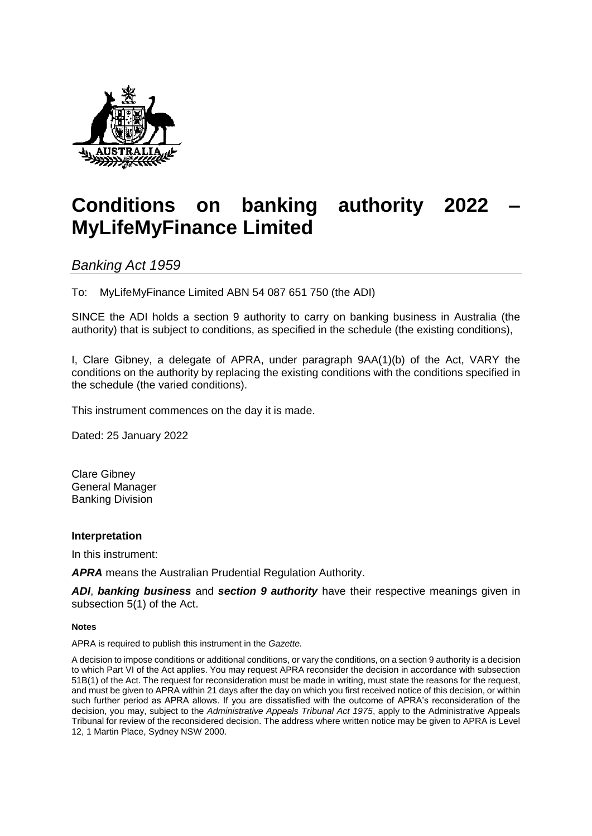

# **Conditions on banking authority 2022 – MyLifeMyFinance Limited**

*Banking Act 1959* 

To: MyLifeMyFinance Limited ABN 54 087 651 750 (the ADI)

SINCE the ADI holds a section 9 authority to carry on banking business in Australia (the authority) that is subject to conditions, as specified in the schedule (the existing conditions),

I, Clare Gibney, a delegate of APRA, under paragraph 9AA(1)(b) of the Act, VARY the conditions on the authority by replacing the existing conditions with the conditions specified in the schedule (the varied conditions).

This instrument commences on the day it is made.

Dated: 25 January 2022

Clare Gibney General Manager Banking Division

### **Interpretation**

In this instrument:

*APRA* means the Australian Prudential Regulation Authority.

*ADI*, *banking business* and *section 9 authority* have their respective meanings given in subsection 5(1) of the Act.

#### **Notes**

APRA is required to publish this instrument in the *Gazette.*

A decision to impose conditions or additional conditions, or vary the conditions, on a section 9 authority is a decision to which Part VI of the Act applies. You may request APRA reconsider the decision in accordance with subsection 51B(1) of the Act. The request for reconsideration must be made in writing, must state the reasons for the request, and must be given to APRA within 21 days after the day on which you first received notice of this decision, or within such further period as APRA allows. If you are dissatisfied with the outcome of APRA's reconsideration of the decision, you may, subject to the *Administrative Appeals Tribunal Act 1975*, apply to the Administrative Appeals Tribunal for review of the reconsidered decision. The address where written notice may be given to APRA is Level 12, 1 Martin Place, Sydney NSW 2000.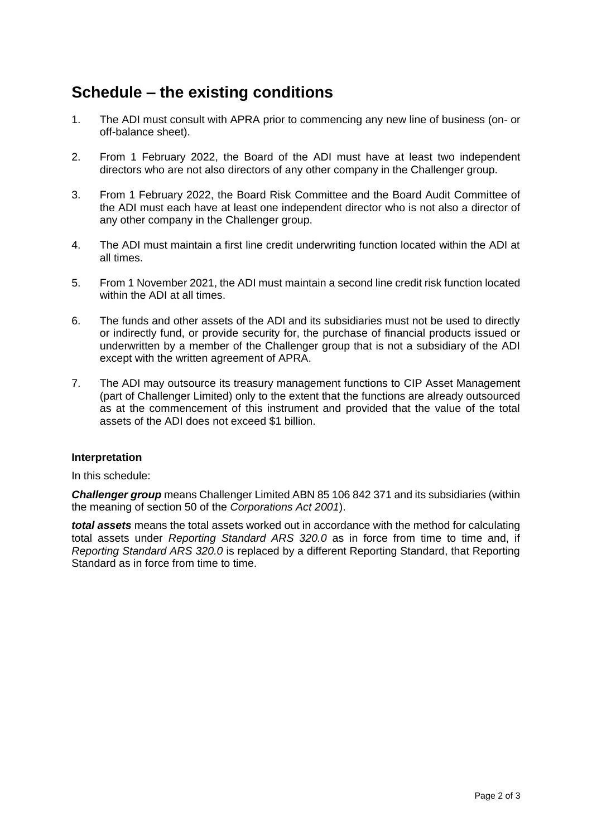## **Schedule – the existing conditions**

- 1. The ADI must consult with APRA prior to commencing any new line of business (on- or off-balance sheet).
- 2. From 1 February 2022, the Board of the ADI must have at least two independent directors who are not also directors of any other company in the Challenger group.
- 3. From 1 February 2022, the Board Risk Committee and the Board Audit Committee of the ADI must each have at least one independent director who is not also a director of any other company in the Challenger group.
- 4. The ADI must maintain a first line credit underwriting function located within the ADI at all times.
- 5. From 1 November 2021, the ADI must maintain a second line credit risk function located within the ADI at all times.
- 6. The funds and other assets of the ADI and its subsidiaries must not be used to directly or indirectly fund, or provide security for, the purchase of financial products issued or underwritten by a member of the Challenger group that is not a subsidiary of the ADI except with the written agreement of APRA.
- 7. The ADI may outsource its treasury management functions to CIP Asset Management (part of Challenger Limited) only to the extent that the functions are already outsourced as at the commencement of this instrument and provided that the value of the total assets of the ADI does not exceed \$1 billion.

### **Interpretation**

In this schedule:

*Challenger group* means Challenger Limited ABN 85 106 842 371 and its subsidiaries (within the meaning of section 50 of the *Corporations Act 2001*).

*total assets* means the total assets worked out in accordance with the method for calculating total assets under *Reporting Standard ARS 320.0* as in force from time to time and, if *Reporting Standard ARS 320.0* is replaced by a different Reporting Standard, that Reporting Standard as in force from time to time.